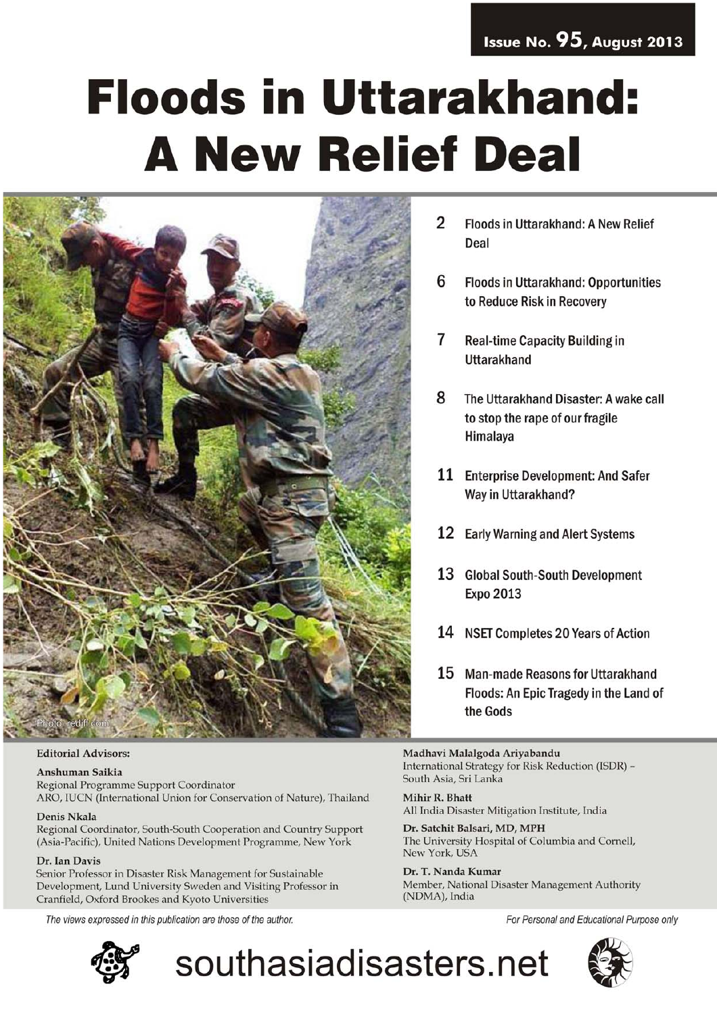### Issue No. 95, August 2013

# **Floods in Uttarakhand: A New Relief Deal**



### **Editorial Advisors:**

### Anshuman Saikia

Regional Programme Support Coordinator ARO, IUCN (International Union for Conservation of Nature), Thailand

### **Denis Nkala**

Regional Coordinator, South-South Cooperation and Country Support (Asia-Pacific), United Nations Development Programme, New York

### Dr. Ian Davis

Senior Professor in Disaster Risk Management for Sustainable Development, Lund University Sweden and Visiting Professor in Cranfield, Oxford Brookes and Kyoto Universities

The views expressed in this publication are those of the author.



 $\overline{2}$ Floods in Uttarakhand: A New Relief Deal

- 6 **Floods in Uttarakhand: Opportunities** to Reduce Risk in Recovery
- 7 **Real-time Capacity Building in** Uttarakhand
- 8 The Uttarakhand Disaster: A wake call to stop the rape of our fragile Himalaya
- 11 Enterprise Development: And Safer Way in Uttarakhand?
- 12 Early Warning and Alert Systems
- 13 Global South-South Development **Expo 2013**
- 14 NSET Completes 20 Years of Action
- 15 Man-made Reasons for Uttarakhand Floods: An Epic Tragedy in the Land of the Gods

Madhavi Malalgoda Ariyabandu International Strategy for Risk Reduction (ISDR) -South Asia, Sri Lanka

Mihir R. Bhatt All India Disaster Mitigation Institute, India

Dr. Satchit Balsari, MD, MPH The University Hospital of Columbia and Cornell, New York, USA

Dr. T. Nanda Kumar Member, National Disaster Management Authority (NDMA), India

For Personal and Educational Purpose only



southasiadisasters.net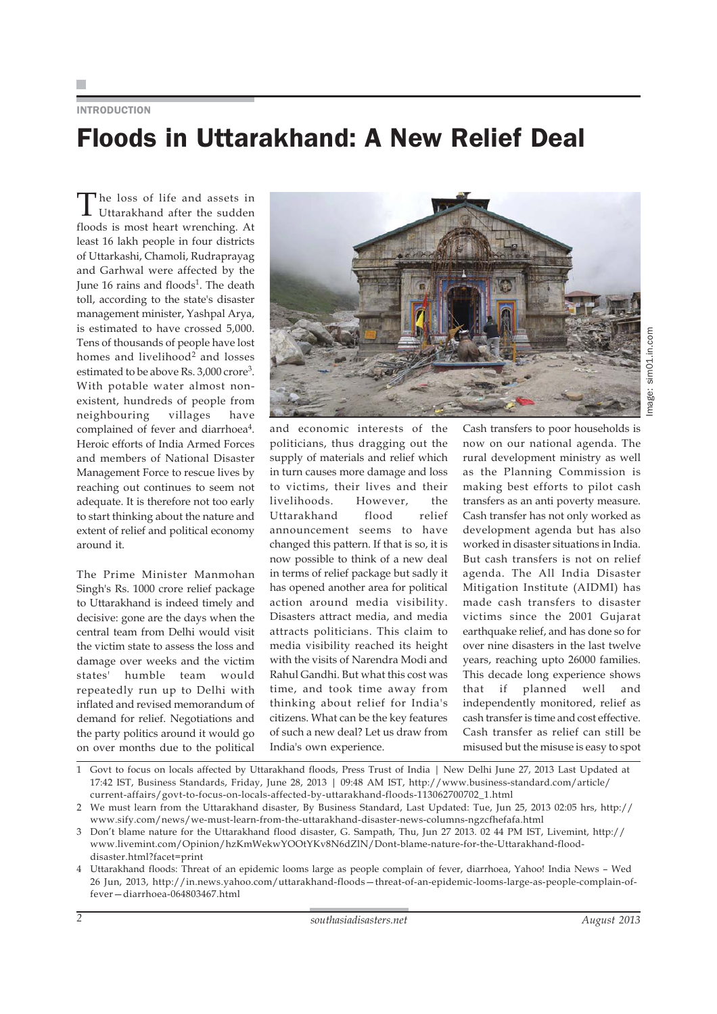# INTRODUCTION Floods in Uttarakhand: A New Relief Deal

The loss of life and assets in Uttarakhand after the sudden floods is most heart wrenching. At least 16 lakh people in four districts of Uttarkashi, Chamoli, Rudraprayag and Garhwal were affected by the June 16 rains and floods<sup>1</sup>. The death toll, according to the state's disaster management minister, Yashpal Arya, is estimated to have crossed 5,000. Tens of thousands of people have lost homes and livelihood<sup>2</sup> and losses estimated to be above Rs. 3,000 crore<sup>3</sup>. With potable water almost nonexistent, hundreds of people from neighbouring villages have complained of fever and diarrhoea<sup>4</sup>. Heroic efforts of India Armed Forces and members of National Disaster Management Force to rescue lives by reaching out continues to seem not adequate. It is therefore not too early to start thinking about the nature and extent of relief and political economy around it.

The Prime Minister Manmohan Singh's Rs. 1000 crore relief package to Uttarakhand is indeed timely and decisive: gone are the days when the central team from Delhi would visit the victim state to assess the loss and damage over weeks and the victim states' humble team would repeatedly run up to Delhi with inflated and revised memorandum of demand for relief. Negotiations and the party politics around it would go on over months due to the political



sim01.in.com Image: sim01.in.comImage:

and economic interests of the politicians, thus dragging out the supply of materials and relief which in turn causes more damage and loss to victims, their lives and their livelihoods. However, the Uttarakhand flood relief announcement seems to have changed this pattern. If that is so, it is now possible to think of a new deal in terms of relief package but sadly it has opened another area for political action around media visibility. Disasters attract media, and media attracts politicians. This claim to media visibility reached its height with the visits of Narendra Modi and Rahul Gandhi. But what this cost was time, and took time away from thinking about relief for India's citizens. What can be the key features of such a new deal? Let us draw from India's own experience.

Cash transfers to poor households is now on our national agenda. The rural development ministry as well as the Planning Commission is making best efforts to pilot cash transfers as an anti poverty measure. Cash transfer has not only worked as development agenda but has also worked in disaster situations in India. But cash transfers is not on relief agenda. The All India Disaster Mitigation Institute (AIDMI) has made cash transfers to disaster victims since the 2001 Gujarat earthquake relief, and has done so for over nine disasters in the last twelve years, reaching upto 26000 families. This decade long experience shows that if planned well and independently monitored, relief as cash transfer is time and cost effective. Cash transfer as relief can still be misused but the misuse is easy to spot

1 Govt to focus on locals affected by Uttarakhand floods, Press Trust of India | New Delhi June 27, 2013 Last Updated at 17:42 IST, Business Standards, Friday, June 28, 2013 | 09:48 AM IST, http://www.business-standard.com/article/ current-affairs/govt-to-focus-on-locals-affected-by-uttarakhand-floods-113062700702\_1.html

- 3 Don't blame nature for the Uttarakhand flood disaster, G. Sampath, Thu, Jun 27 2013. 02 44 PM IST, Livemint, http:// www.livemint.com/Opinion/hzKmWekwYOOtYKv8N6dZlN/Dont-blame-nature-for-the-Uttarakhand-flooddisaster.html?facet=print
- 4 Uttarakhand floods: Threat of an epidemic looms large as people complain of fever, diarrhoea, Yahoo! India News Wed 26 Jun, 2013, http://in.news.yahoo.com/uttarakhand-floods—threat-of-an-epidemic-looms-large-as-people-complain-offever—diarrhoea-064803467.html

<sup>2</sup> We must learn from the Uttarakhand disaster, By Business Standard, Last Updated: Tue, Jun 25, 2013 02:05 hrs, http:// www.sify.com/news/we-must-learn-from-the-uttarakhand-disaster-news-columns-ngzcfhefafa.html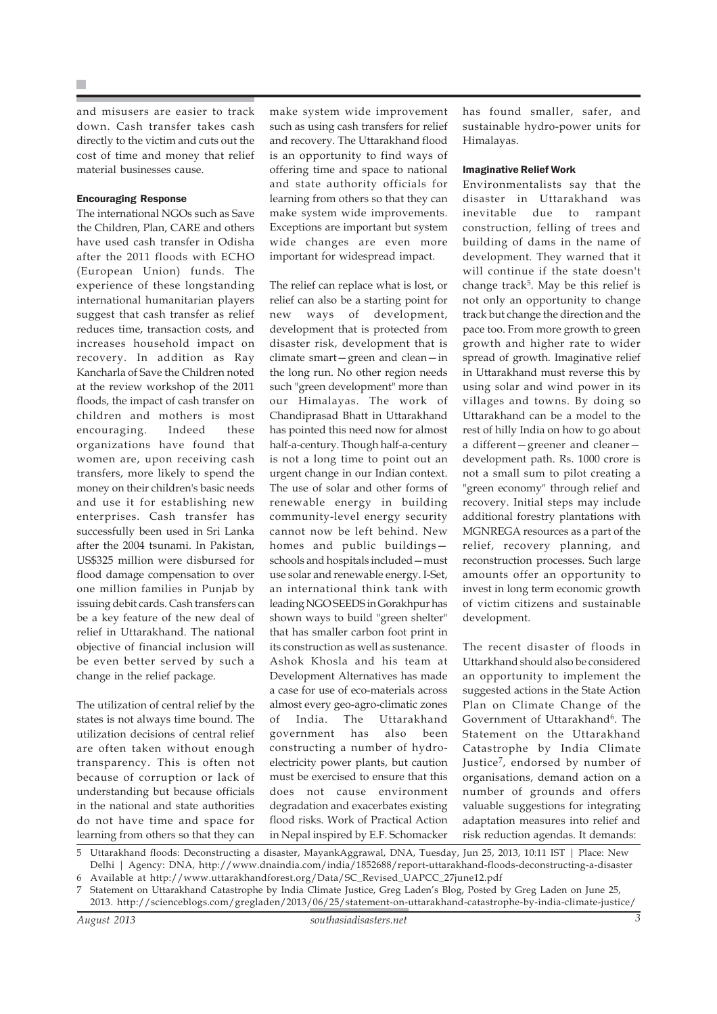and misusers are easier to track down. Cash transfer takes cash directly to the victim and cuts out the cost of time and money that relief material businesses cause.

### Encouraging Response

The international NGOs such as Save the Children, Plan, CARE and others have used cash transfer in Odisha after the 2011 floods with ECHO (European Union) funds. The experience of these longstanding international humanitarian players suggest that cash transfer as relief reduces time, transaction costs, and increases household impact on recovery. In addition as Ray Kancharla of Save the Children noted at the review workshop of the 2011 floods, the impact of cash transfer on children and mothers is most encouraging. Indeed these organizations have found that women are, upon receiving cash transfers, more likely to spend the money on their children's basic needs and use it for establishing new enterprises. Cash transfer has successfully been used in Sri Lanka after the 2004 tsunami. In Pakistan, US\$325 million were disbursed for flood damage compensation to over one million families in Punjab by issuing debit cards. Cash transfers can be a key feature of the new deal of relief in Uttarakhand. The national objective of financial inclusion will be even better served by such a change in the relief package.

The utilization of central relief by the states is not always time bound. The utilization decisions of central relief are often taken without enough transparency. This is often not because of corruption or lack of understanding but because officials in the national and state authorities do not have time and space for learning from others so that they can make system wide improvement such as using cash transfers for relief and recovery. The Uttarakhand flood is an opportunity to find ways of offering time and space to national and state authority officials for learning from others so that they can make system wide improvements. Exceptions are important but system wide changes are even more important for widespread impact.

The relief can replace what is lost, or relief can also be a starting point for new ways of development, development that is protected from disaster risk, development that is climate smart—green and clean—in the long run. No other region needs such "green development" more than our Himalayas. The work of Chandiprasad Bhatt in Uttarakhand has pointed this need now for almost half-a-century. Though half-a-century is not a long time to point out an urgent change in our Indian context. The use of solar and other forms of renewable energy in building community-level energy security cannot now be left behind. New homes and public buildings schools and hospitals included—must use solar and renewable energy. I-Set, an international think tank with leading NGO SEEDS in Gorakhpur has shown ways to build "green shelter" that has smaller carbon foot print in its construction as well as sustenance. Ashok Khosla and his team at Development Alternatives has made a case for use of eco-materials across almost every geo-agro-climatic zones of India. The Uttarakhand government has also been constructing a number of hydroelectricity power plants, but caution must be exercised to ensure that this does not cause environment degradation and exacerbates existing flood risks. Work of Practical Action in Nepal inspired by E.F. Schomacker

has found smaller, safer, and sustainable hydro-power units for Himalayas.

#### Imaginative Relief Work

Environmentalists say that the disaster in Uttarakhand was inevitable due to rampant construction, felling of trees and building of dams in the name of development. They warned that it will continue if the state doesn't change track<sup>5</sup>. May be this relief is not only an opportunity to change track but change the direction and the pace too. From more growth to green growth and higher rate to wider spread of growth. Imaginative relief in Uttarakhand must reverse this by using solar and wind power in its villages and towns. By doing so Uttarakhand can be a model to the rest of hilly India on how to go about a different—greener and cleaner development path. Rs. 1000 crore is not a small sum to pilot creating a "green economy" through relief and recovery. Initial steps may include additional forestry plantations with MGNREGA resources as a part of the relief, recovery planning, and reconstruction processes. Such large amounts offer an opportunity to invest in long term economic growth of victim citizens and sustainable development.

The recent disaster of floods in Uttarkhand should also be considered an opportunity to implement the suggested actions in the State Action Plan on Climate Change of the Government of Uttarakhand<sup>6</sup>. The Statement on the Uttarakhand Catastrophe by India Climate Justice<sup>7</sup>, endorsed by number of organisations, demand action on a number of grounds and offers valuable suggestions for integrating adaptation measures into relief and risk reduction agendas. It demands:

2013. http://scienceblogs.com/gregladen/2013/06/25/statement-on-uttarakhand-catastrophe-by-india-climate-justice/

<sup>5</sup> Uttarakhand floods: Deconstructing a disaster, MayankAggrawal, DNA, Tuesday, Jun 25, 2013, 10:11 IST | Place: New Delhi | Agency: DNA, http://www.dnaindia.com/india/1852688/report-uttarakhand-floods-deconstructing-a-disaster 6 Available at http://www.uttarakhandforest.org/Data/SC\_Revised\_UAPCC\_27june12.pdf

<sup>7</sup> Statement on Uttarakhand Catastrophe by India Climate Justice, Greg Laden's Blog, Posted by Greg Laden on June 25,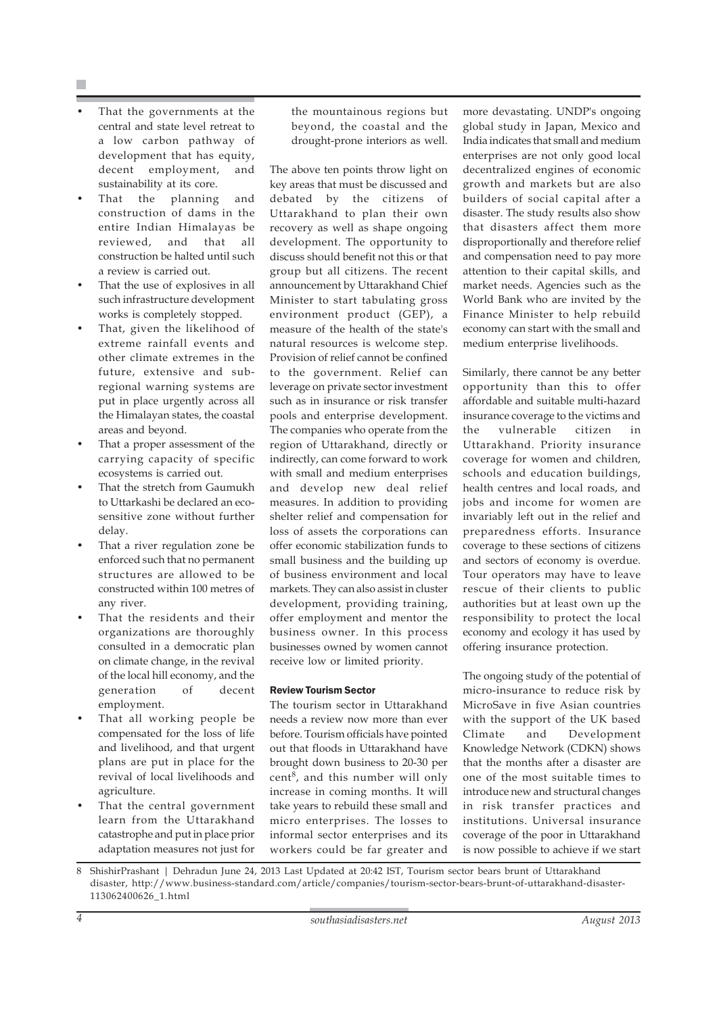- That the governments at the central and state level retreat to a low carbon pathway of development that has equity, decent employment, and sustainability at its core.
- That the planning and construction of dams in the entire Indian Himalayas be reviewed, and that all construction be halted until such a review is carried out.
- That the use of explosives in all such infrastructure development works is completely stopped.
- That, given the likelihood of extreme rainfall events and other climate extremes in the future, extensive and subregional warning systems are put in place urgently across all the Himalayan states, the coastal areas and beyond.
- That a proper assessment of the carrying capacity of specific ecosystems is carried out.
- That the stretch from Gaumukh to Uttarkashi be declared an ecosensitive zone without further delay.
- That a river regulation zone be enforced such that no permanent structures are allowed to be constructed within 100 metres of any river.
- That the residents and their organizations are thoroughly consulted in a democratic plan on climate change, in the revival of the local hill economy, and the generation of decent employment.
- That all working people be compensated for the loss of life and livelihood, and that urgent plans are put in place for the revival of local livelihoods and agriculture.
- That the central government learn from the Uttarakhand catastrophe and put in place prior adaptation measures not just for

the mountainous regions but beyond, the coastal and the drought-prone interiors as well.

The above ten points throw light on key areas that must be discussed and debated by the citizens of Uttarakhand to plan their own recovery as well as shape ongoing development. The opportunity to discuss should benefit not this or that group but all citizens. The recent announcement by Uttarakhand Chief Minister to start tabulating gross environment product (GEP), a measure of the health of the state's natural resources is welcome step. Provision of relief cannot be confined to the government. Relief can leverage on private sector investment such as in insurance or risk transfer pools and enterprise development. The companies who operate from the region of Uttarakhand, directly or indirectly, can come forward to work with small and medium enterprises and develop new deal relief measures. In addition to providing shelter relief and compensation for loss of assets the corporations can offer economic stabilization funds to small business and the building up of business environment and local markets. They can also assist in cluster development, providing training, offer employment and mentor the business owner. In this process businesses owned by women cannot receive low or limited priority.

### Review Tourism Sector

The tourism sector in Uttarakhand needs a review now more than ever before. Tourism officials have pointed out that floods in Uttarakhand have brought down business to 20-30 per cent8, and this number will only increase in coming months. It will take years to rebuild these small and micro enterprises. The losses to informal sector enterprises and its workers could be far greater and more devastating. UNDP's ongoing global study in Japan, Mexico and India indicates that small and medium enterprises are not only good local decentralized engines of economic growth and markets but are also builders of social capital after a disaster. The study results also show that disasters affect them more disproportionally and therefore relief and compensation need to pay more attention to their capital skills, and market needs. Agencies such as the World Bank who are invited by the Finance Minister to help rebuild economy can start with the small and medium enterprise livelihoods.

Similarly, there cannot be any better opportunity than this to offer affordable and suitable multi-hazard insurance coverage to the victims and the vulnerable citizen in Uttarakhand. Priority insurance coverage for women and children, schools and education buildings, health centres and local roads, and jobs and income for women are invariably left out in the relief and preparedness efforts. Insurance coverage to these sections of citizens and sectors of economy is overdue. Tour operators may have to leave rescue of their clients to public authorities but at least own up the responsibility to protect the local economy and ecology it has used by offering insurance protection.

The ongoing study of the potential of micro-insurance to reduce risk by MicroSave in five Asian countries with the support of the UK based Climate and Development Knowledge Network (CDKN) shows that the months after a disaster are one of the most suitable times to introduce new and structural changes in risk transfer practices and institutions. Universal insurance coverage of the poor in Uttarakhand is now possible to achieve if we start

<sup>8</sup> ShishirPrashant | Dehradun June 24, 2013 Last Updated at 20:42 IST, Tourism sector bears brunt of Uttarakhand disaster, http://www.business-standard.com/article/companies/tourism-sector-bears-brunt-of-uttarakhand-disaster-113062400626\_1.html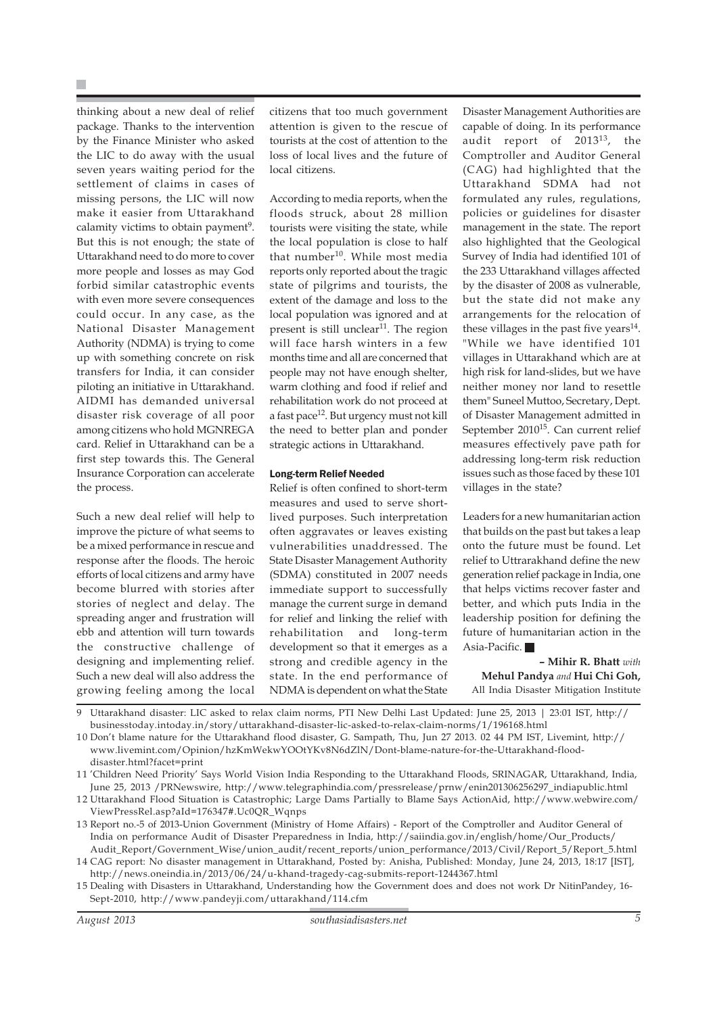thinking about a new deal of relief package. Thanks to the intervention by the Finance Minister who asked the LIC to do away with the usual seven years waiting period for the settlement of claims in cases of missing persons, the LIC will now make it easier from Uttarakhand calamity victims to obtain payment<sup>9</sup>. But this is not enough; the state of Uttarakhand need to do more to cover more people and losses as may God forbid similar catastrophic events with even more severe consequences could occur. In any case, as the National Disaster Management Authority (NDMA) is trying to come up with something concrete on risk transfers for India, it can consider piloting an initiative in Uttarakhand. AIDMI has demanded universal disaster risk coverage of all poor among citizens who hold MGNREGA card. Relief in Uttarakhand can be a first step towards this. The General Insurance Corporation can accelerate the process.

Such a new deal relief will help to improve the picture of what seems to be a mixed performance in rescue and response after the floods. The heroic efforts of local citizens and army have become blurred with stories after stories of neglect and delay. The spreading anger and frustration will ebb and attention will turn towards the constructive challenge of designing and implementing relief. Such a new deal will also address the growing feeling among the local citizens that too much government attention is given to the rescue of tourists at the cost of attention to the loss of local lives and the future of local citizens.

According to media reports, when the floods struck, about 28 million tourists were visiting the state, while the local population is close to half that number<sup>10</sup>. While most media reports only reported about the tragic state of pilgrims and tourists, the extent of the damage and loss to the local population was ignored and at present is still unclear<sup>11</sup>. The region will face harsh winters in a few months time and all are concerned that people may not have enough shelter, warm clothing and food if relief and rehabilitation work do not proceed at a fast pace<sup>12</sup>. But urgency must not kill the need to better plan and ponder strategic actions in Uttarakhand.

### Long-term Relief Needed

Relief is often confined to short-term measures and used to serve shortlived purposes. Such interpretation often aggravates or leaves existing vulnerabilities unaddressed. The State Disaster Management Authority (SDMA) constituted in 2007 needs immediate support to successfully manage the current surge in demand for relief and linking the relief with rehabilitation and long-term development so that it emerges as a strong and credible agency in the state. In the end performance of NDMA is dependent on what the State Disaster Management Authorities are capable of doing. In its performance audit report of 201313, the Comptroller and Auditor General (CAG) had highlighted that the Uttarakhand SDMA had not formulated any rules, regulations, policies or guidelines for disaster management in the state. The report also highlighted that the Geological Survey of India had identified 101 of the 233 Uttarakhand villages affected by the disaster of 2008 as vulnerable, but the state did not make any arrangements for the relocation of these villages in the past five years $14$ . "While we have identified 101 villages in Uttarakhand which are at high risk for land-slides, but we have neither money nor land to resettle them" Suneel Muttoo, Secretary, Dept. of Disaster Management admitted in September 2010<sup>15</sup>. Can current relief measures effectively pave path for addressing long-term risk reduction issues such as those faced by these 101 villages in the state?

Leaders for a new humanitarian action that builds on the past but takes a leap onto the future must be found. Let relief to Uttrarakhand define the new generation relief package in India, one that helps victims recover faster and better, and which puts India in the leadership position for defining the future of humanitarian action in the Asia-Pacific.

**– Mihir R. Bhatt** *with* **Mehul Pandya** *and* **Hui Chi Goh,** All India Disaster Mitigation Institute

9 Uttarakhand disaster: LIC asked to relax claim norms, PTI New Delhi Last Updated: June 25, 2013 | 23:01 IST, http:// businesstoday.intoday.in/story/uttarakhand-disaster-lic-asked-to-relax-claim-norms/1/196168.html

10 Don't blame nature for the Uttarakhand flood disaster, G. Sampath, Thu, Jun 27 2013. 02 44 PM IST, Livemint, http:// www.livemint.com/Opinion/hzKmWekwYOOtYKv8N6dZlN/Dont-blame-nature-for-the-Uttarakhand-flooddisaster.html?facet=print

11 'Children Need Priority' Says World Vision India Responding to the Uttarakhand Floods, SRINAGAR, Uttarakhand, India, June 25, 2013 /PRNewswire, http://www.telegraphindia.com/pressrelease/prnw/enin201306256297\_indiapublic.html

<sup>12</sup> Uttarakhand Flood Situation is Catastrophic; Large Dams Partially to Blame Says ActionAid, http://www.webwire.com/ ViewPressRel.asp?aId=176347#.Uc0QR\_Wqnps

<sup>13</sup> Report no.-5 of 2013-Union Government (Ministry of Home Affairs) - Report of the Comptroller and Auditor General of India on performance Audit of Disaster Preparedness in India, http://saiindia.gov.in/english/home/Our\_Products/ Audit\_Report/Government\_Wise/union\_audit/recent\_reports/union\_performance/2013/Civil/Report\_5/Report\_5.html

<sup>14</sup> CAG report: No disaster management in Uttarakhand, Posted by: Anisha, Published: Monday, June 24, 2013, 18:17 [IST], http://news.oneindia.in/2013/06/24/u-khand-tragedy-cag-submits-report-1244367.html

<sup>15</sup> Dealing with Disasters in Uttarakhand, Understanding how the Government does and does not work Dr NitinPandey, 16- Sept-2010, http://www.pandeyji.com/uttarakhand/114.cfm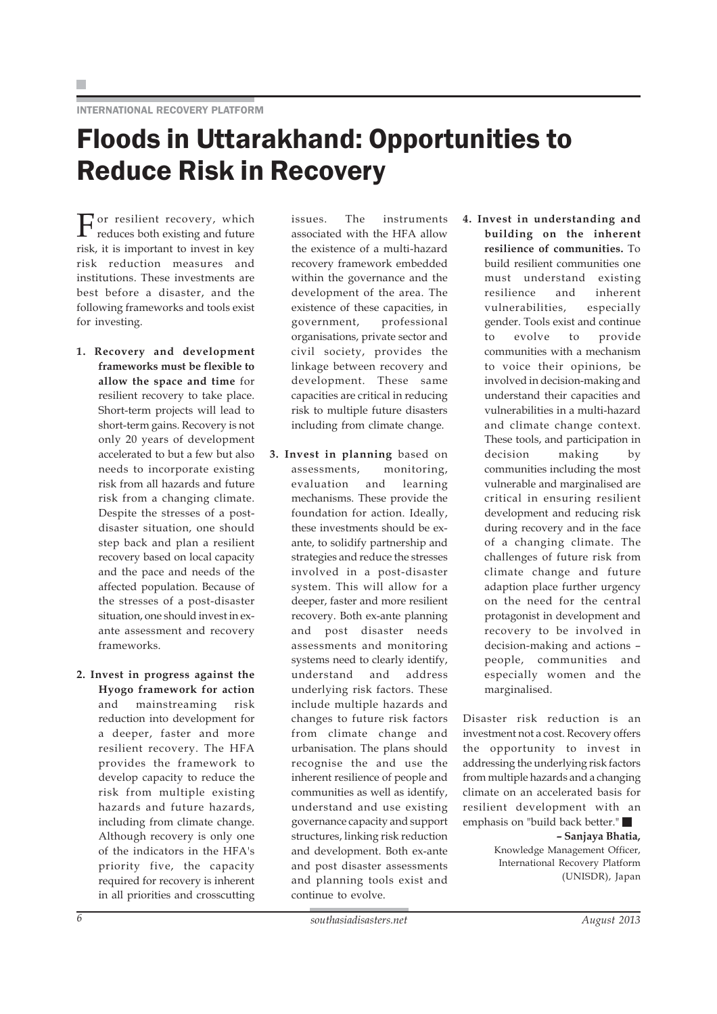# Floods in Uttarakhand: Opportunities to Reduce Risk in Recovery

 $\Gamma$  or resilient recovery, which reduces both existing and future risk, it is important to invest in key risk reduction measures and institutions. These investments are best before a disaster, and the following frameworks and tools exist for investing.

- **1. Recovery and development frameworks must be flexible to allow the space and time** for resilient recovery to take place. Short-term projects will lead to short-term gains. Recovery is not only 20 years of development accelerated to but a few but also needs to incorporate existing risk from all hazards and future risk from a changing climate. Despite the stresses of a postdisaster situation, one should step back and plan a resilient recovery based on local capacity and the pace and needs of the affected population. Because of the stresses of a post-disaster situation, one should invest in exante assessment and recovery frameworks.
- **2. Invest in progress against the Hyogo framework for action** and mainstreaming risk reduction into development for a deeper, faster and more resilient recovery. The HFA provides the framework to develop capacity to reduce the risk from multiple existing hazards and future hazards, including from climate change. Although recovery is only one of the indicators in the HFA's priority five, the capacity required for recovery is inherent in all priorities and crosscutting

issues. The instruments associated with the HFA allow the existence of a multi-hazard recovery framework embedded within the governance and the development of the area. The existence of these capacities, in government, professional organisations, private sector and civil society, provides the linkage between recovery and development. These same capacities are critical in reducing risk to multiple future disasters including from climate change.

- **3. Invest in planning** based on assessments, monitoring, evaluation and learning mechanisms. These provide the foundation for action. Ideally, these investments should be exante, to solidify partnership and strategies and reduce the stresses involved in a post-disaster system. This will allow for a deeper, faster and more resilient recovery. Both ex-ante planning and post disaster needs assessments and monitoring systems need to clearly identify, understand and address underlying risk factors. These include multiple hazards and changes to future risk factors from climate change and urbanisation. The plans should recognise the and use the inherent resilience of people and communities as well as identify, understand and use existing governance capacity and support structures, linking risk reduction and development. Both ex-ante and post disaster assessments and planning tools exist and continue to evolve.
- **4. Invest in understanding and building on the inherent resilience of communities.** To build resilient communities one must understand existing resilience and inherent vulnerabilities, especially gender. Tools exist and continue to evolve to provide communities with a mechanism to voice their opinions, be involved in decision-making and understand their capacities and vulnerabilities in a multi-hazard and climate change context. These tools, and participation in decision making by communities including the most vulnerable and marginalised are critical in ensuring resilient development and reducing risk during recovery and in the face of a changing climate. The challenges of future risk from climate change and future adaption place further urgency on the need for the central protagonist in development and recovery to be involved in decision-making and actions – people, communities and especially women and the marginalised.

Disaster risk reduction is an investment not a cost. Recovery offers the opportunity to invest in addressing the underlying risk factors from multiple hazards and a changing climate on an accelerated basis for resilient development with an emphasis on "build back better."

**– Sanjaya Bhatia,**

Knowledge Management Officer, International Recovery Platform (UNISDR), Japan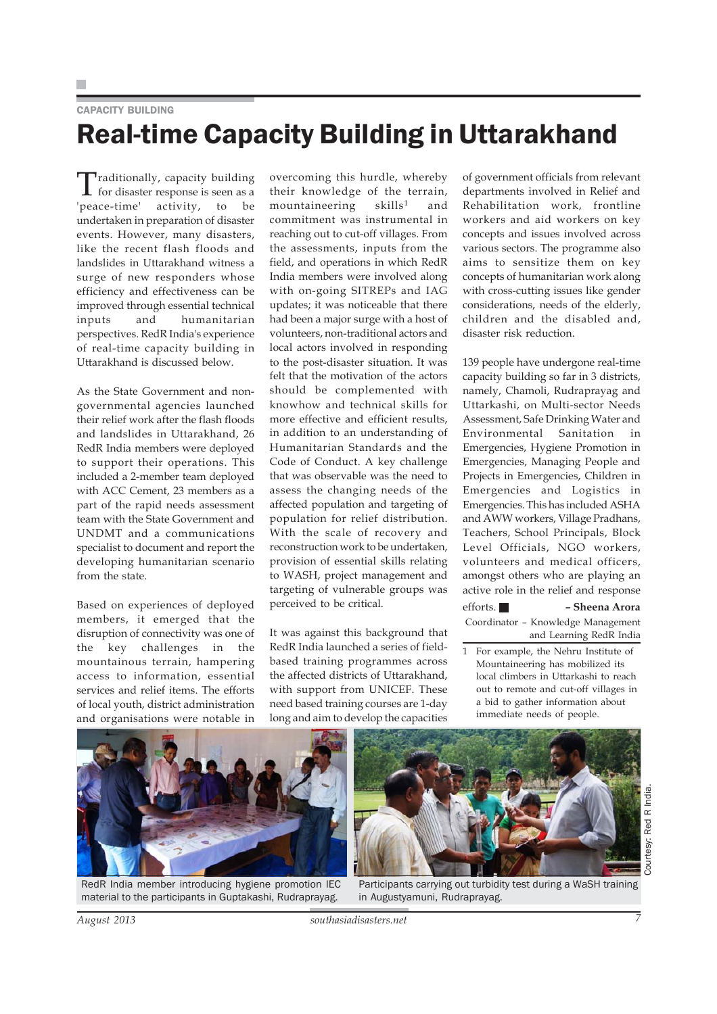# CAPACITY BUILDING Real-time Capacity Building in Uttarakhand

Traditionally, capacity building for disaster response is seen as a 'peace-time' activity, to be undertaken in preparation of disaster events. However, many disasters, like the recent flash floods and landslides in Uttarakhand witness a surge of new responders whose efficiency and effectiveness can be improved through essential technical inputs and humanitarian perspectives. RedR India's experience of real-time capacity building in Uttarakhand is discussed below.

As the State Government and nongovernmental agencies launched their relief work after the flash floods and landslides in Uttarakhand, 26 RedR India members were deployed to support their operations. This included a 2-member team deployed with ACC Cement, 23 members as a part of the rapid needs assessment team with the State Government and UNDMT and a communications specialist to document and report the developing humanitarian scenario from the state.

Based on experiences of deployed members, it emerged that the disruption of connectivity was one of the key challenges in the mountainous terrain, hampering access to information, essential services and relief items. The efforts of local youth, district administration and organisations were notable in overcoming this hurdle, whereby their knowledge of the terrain,  $m$ ountaineering skills<sup>1</sup> and commitment was instrumental in reaching out to cut-off villages. From the assessments, inputs from the field, and operations in which RedR India members were involved along with on-going SITREPs and IAG updates; it was noticeable that there had been a major surge with a host of volunteers, non-traditional actors and local actors involved in responding to the post-disaster situation. It was felt that the motivation of the actors should be complemented with knowhow and technical skills for more effective and efficient results, in addition to an understanding of Humanitarian Standards and the Code of Conduct. A key challenge that was observable was the need to assess the changing needs of the affected population and targeting of population for relief distribution. With the scale of recovery and reconstruction work to be undertaken, provision of essential skills relating to WASH, project management and targeting of vulnerable groups was perceived to be critical.

It was against this background that RedR India launched a series of fieldbased training programmes across the affected districts of Uttarakhand, with support from UNICEF. These need based training courses are 1-day long and aim to develop the capacities

of government officials from relevant departments involved in Relief and Rehabilitation work, frontline workers and aid workers on key concepts and issues involved across various sectors. The programme also aims to sensitize them on key concepts of humanitarian work along with cross-cutting issues like gender considerations, needs of the elderly, children and the disabled and, disaster risk reduction.

139 people have undergone real-time capacity building so far in 3 districts, namely, Chamoli, Rudraprayag and Uttarkashi, on Multi-sector Needs Assessment, Safe Drinking Water and Environmental Sanitation in Emergencies, Hygiene Promotion in Emergencies, Managing People and Projects in Emergencies, Children in Emergencies and Logistics in Emergencies. This has included ASHA and AWW workers, Village Pradhans, Teachers, School Principals, Block Level Officials, NGO workers, volunteers and medical officers, amongst others who are playing an active role in the relief and response

efforts. **– Sheena Arora** Coordinator – Knowledge Management and Learning RedR India

1 For example, the Nehru Institute of Mountaineering has mobilized its local climbers in Uttarkashi to reach out to remote and cut-off villages in a bid to gather information about immediate needs of people.



RedR India member introducing hygiene promotion IEC material to the participants in Guptakashi, Rudraprayag.



Participants carrying out turbidity test during a WaSH training in Augustyamuni, Rudraprayag.

Courtesy: Red R India.

Courtesy: Red R India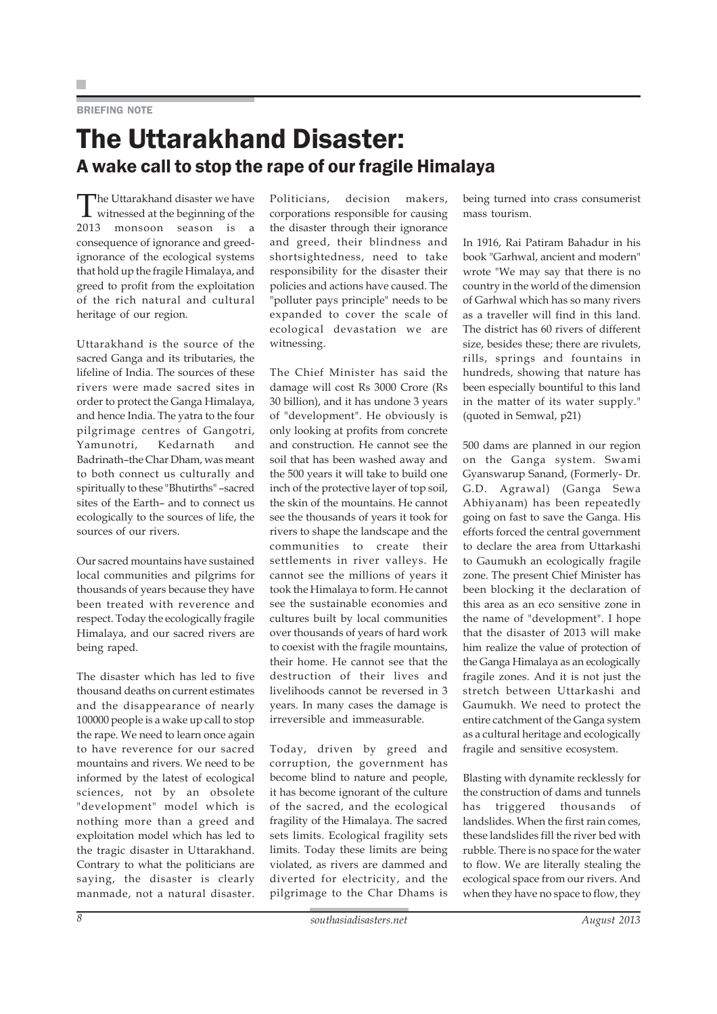### BRIEFING NOTE

# The Uttarakhand Disaster: A wake call to stop the rape of our fragile Himalaya

The Uttarakhand disaster we have witnessed at the beginning of the 2013 monsoon season is a consequence of ignorance and greedignorance of the ecological systems that hold up the fragile Himalaya, and greed to profit from the exploitation of the rich natural and cultural heritage of our region.

Uttarakhand is the source of the sacred Ganga and its tributaries, the lifeline of India. The sources of these rivers were made sacred sites in order to protect the Ganga Himalaya, and hence India. The yatra to the four pilgrimage centres of Gangotri, Yamunotri, Kedarnath and Badrinath–the Char Dham, was meant to both connect us culturally and spiritually to these "Bhutirths" –sacred sites of the Earth– and to connect us ecologically to the sources of life, the sources of our rivers.

Our sacred mountains have sustained local communities and pilgrims for thousands of years because they have been treated with reverence and respect. Today the ecologically fragile Himalaya, and our sacred rivers are being raped.

The disaster which has led to five thousand deaths on current estimates and the disappearance of nearly 100000 people is a wake up call to stop the rape. We need to learn once again to have reverence for our sacred mountains and rivers. We need to be informed by the latest of ecological sciences, not by an obsolete "development" model which is nothing more than a greed and exploitation model which has led to the tragic disaster in Uttarakhand. Contrary to what the politicians are saying, the disaster is clearly manmade, not a natural disaster.

Politicians, decision makers, corporations responsible for causing the disaster through their ignorance and greed, their blindness and shortsightedness, need to take responsibility for the disaster their policies and actions have caused. The "polluter pays principle" needs to be expanded to cover the scale of ecological devastation we are witnessing.

The Chief Minister has said the damage will cost Rs 3000 Crore (Rs 30 billion), and it has undone 3 years of "development". He obviously is only looking at profits from concrete and construction. He cannot see the soil that has been washed away and the 500 years it will take to build one inch of the protective layer of top soil, the skin of the mountains. He cannot see the thousands of years it took for rivers to shape the landscape and the communities to create their settlements in river valleys. He cannot see the millions of years it took the Himalaya to form. He cannot see the sustainable economies and cultures built by local communities over thousands of years of hard work to coexist with the fragile mountains, their home. He cannot see that the destruction of their lives and livelihoods cannot be reversed in 3 years. In many cases the damage is irreversible and immeasurable.

Today, driven by greed and corruption, the government has become blind to nature and people, it has become ignorant of the culture of the sacred, and the ecological fragility of the Himalaya. The sacred sets limits. Ecological fragility sets limits. Today these limits are being violated, as rivers are dammed and diverted for electricity, and the pilgrimage to the Char Dhams is

being turned into crass consumerist mass tourism.

In 1916, Rai Patiram Bahadur in his book "Garhwal, ancient and modern" wrote "We may say that there is no country in the world of the dimension of Garhwal which has so many rivers as a traveller will find in this land. The district has 60 rivers of different size, besides these; there are rivulets, rills, springs and fountains in hundreds, showing that nature has been especially bountiful to this land in the matter of its water supply." (quoted in Semwal, p21)

500 dams are planned in our region on the Ganga system. Swami Gyanswarup Sanand, (Formerly- Dr. G.D. Agrawal) (Ganga Sewa Abhiyanam) has been repeatedly going on fast to save the Ganga. His efforts forced the central government to declare the area from Uttarkashi to Gaumukh an ecologically fragile zone. The present Chief Minister has been blocking it the declaration of this area as an eco sensitive zone in the name of "development". I hope that the disaster of 2013 will make him realize the value of protection of the Ganga Himalaya as an ecologically fragile zones. And it is not just the stretch between Uttarkashi and Gaumukh. We need to protect the entire catchment of the Ganga system as a cultural heritage and ecologically fragile and sensitive ecosystem.

Blasting with dynamite recklessly for the construction of dams and tunnels has triggered thousands of landslides. When the first rain comes, these landslides fill the river bed with rubble. There is no space for the water to flow. We are literally stealing the ecological space from our rivers. And when they have no space to flow, they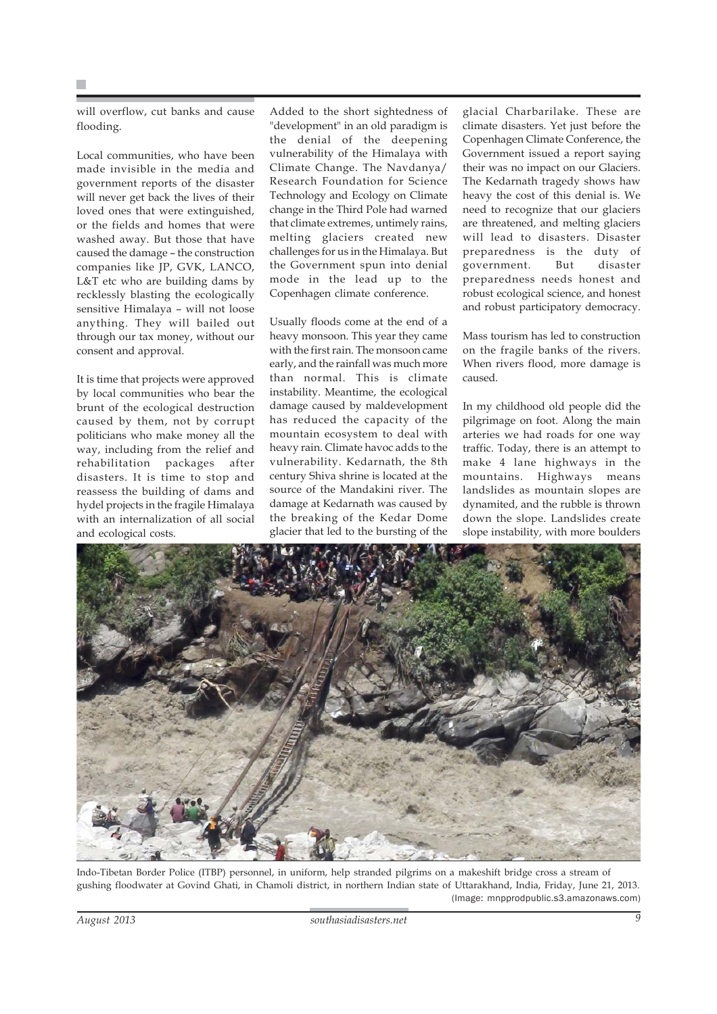will overflow, cut banks and cause flooding.

Local communities, who have been made invisible in the media and government reports of the disaster will never get back the lives of their loved ones that were extinguished, or the fields and homes that were washed away. But those that have caused the damage – the construction companies like JP, GVK, LANCO, L&T etc who are building dams by recklessly blasting the ecologically sensitive Himalaya – will not loose anything. They will bailed out through our tax money, without our consent and approval.

It is time that projects were approved by local communities who bear the brunt of the ecological destruction caused by them, not by corrupt politicians who make money all the way, including from the relief and rehabilitation packages after disasters. It is time to stop and reassess the building of dams and hydel projects in the fragile Himalaya with an internalization of all social and ecological costs.

Added to the short sightedness of "development" in an old paradigm is the denial of the deepening vulnerability of the Himalaya with Climate Change. The Navdanya/ Research Foundation for Science Technology and Ecology on Climate change in the Third Pole had warned that climate extremes, untimely rains, melting glaciers created new challenges for us in the Himalaya. But the Government spun into denial mode in the lead up to the Copenhagen climate conference.

Usually floods come at the end of a heavy monsoon. This year they came with the first rain. The monsoon came early, and the rainfall was much more than normal. This is climate instability. Meantime, the ecological damage caused by maldevelopment has reduced the capacity of the mountain ecosystem to deal with heavy rain. Climate havoc adds to the vulnerability. Kedarnath, the 8th century Shiva shrine is located at the source of the Mandakini river. The damage at Kedarnath was caused by the breaking of the Kedar Dome glacier that led to the bursting of the

glacial Charbarilake. These are climate disasters. Yet just before the Copenhagen Climate Conference, the Government issued a report saying their was no impact on our Glaciers. The Kedarnath tragedy shows haw heavy the cost of this denial is. We need to recognize that our glaciers are threatened, and melting glaciers will lead to disasters. Disaster preparedness is the duty of government. But disaster preparedness needs honest and robust ecological science, and honest and robust participatory democracy.

Mass tourism has led to construction on the fragile banks of the rivers. When rivers flood, more damage is caused.

In my childhood old people did the pilgrimage on foot. Along the main arteries we had roads for one way traffic. Today, there is an attempt to make 4 lane highways in the mountains. Highways means landslides as mountain slopes are dynamited, and the rubble is thrown down the slope. Landslides create slope instability, with more boulders



Indo-Tibetan Border Police (ITBP) personnel, in uniform, help stranded pilgrims on a makeshift bridge cross a stream of gushing floodwater at Govind Ghati, in Chamoli district, in northern Indian state of Uttarakhand, India, Friday, June 21, 2013. (Image: mnpprodpublic.s3.amazonaws.com)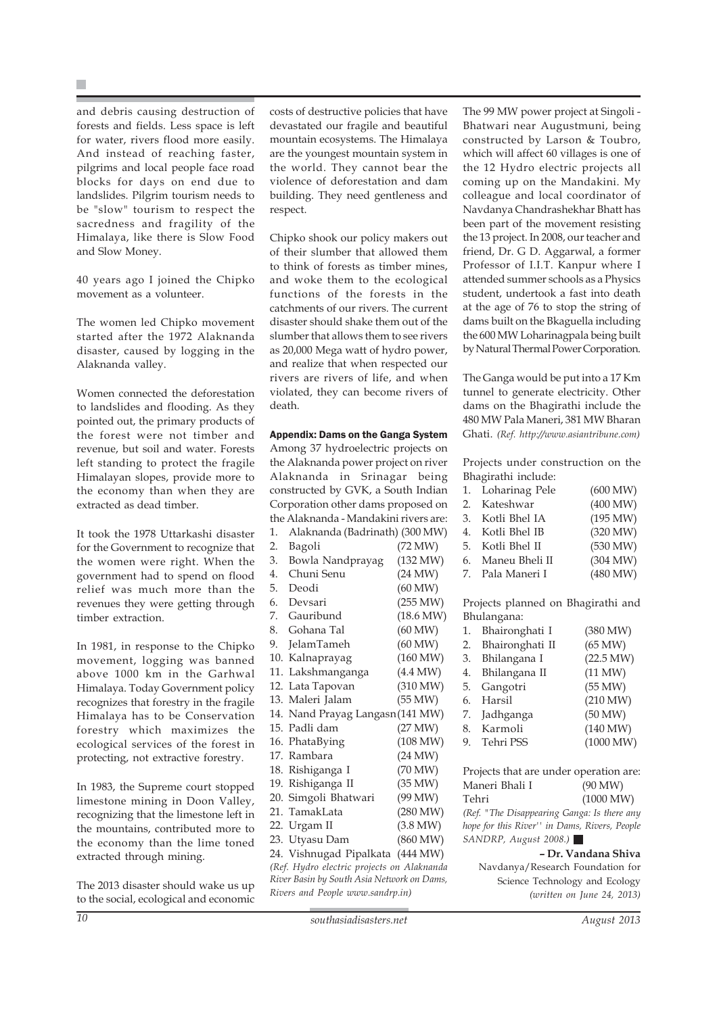and debris causing destruction of forests and fields. Less space is left for water, rivers flood more easily. And instead of reaching faster, pilgrims and local people face road blocks for days on end due to landslides. Pilgrim tourism needs to be "slow" tourism to respect the sacredness and fragility of the Himalaya, like there is Slow Food and Slow Money.

40 years ago I joined the Chipko movement as a volunteer.

The women led Chipko movement started after the 1972 Alaknanda disaster, caused by logging in the Alaknanda valley.

Women connected the deforestation to landslides and flooding. As they pointed out, the primary products of the forest were not timber and revenue, but soil and water. Forests left standing to protect the fragile Himalayan slopes, provide more to the economy than when they are extracted as dead timber.

It took the 1978 Uttarkashi disaster for the Government to recognize that the women were right. When the government had to spend on flood relief was much more than the revenues they were getting through timber extraction.

In 1981, in response to the Chipko movement, logging was banned above 1000 km in the Garhwal Himalaya. Today Government policy recognizes that forestry in the fragile Himalaya has to be Conservation forestry which maximizes the ecological services of the forest in protecting, not extractive forestry.

In 1983, the Supreme court stopped limestone mining in Doon Valley, recognizing that the limestone left in the mountains, contributed more to the economy than the lime toned extracted through mining.

The 2013 disaster should wake us up to the social, ecological and economic

costs of destructive policies that have devastated our fragile and beautiful mountain ecosystems. The Himalaya are the youngest mountain system in the world. They cannot bear the violence of deforestation and dam building. They need gentleness and respect.

Chipko shook our policy makers out of their slumber that allowed them to think of forests as timber mines, and woke them to the ecological functions of the forests in the catchments of our rivers. The current disaster should shake them out of the slumber that allows them to see rivers as 20,000 Mega watt of hydro power, and realize that when respected our rivers are rivers of life, and when violated, they can become rivers of death.

### Appendix: Dams on the Ganga System

Among 37 hydroelectric projects on the Alaknanda power project on river Alaknanda in Srinagar being constructed by GVK, a South Indian Corporation other dams proposed on the Alaknanda - Mandakini rivers are: 1. Alaknanda (Badrinath) (300 MW) 2. Bagoli (72 MW) 3. Bowla Nandprayag (132 MW) 4. Chuni Senu (24 MW) 5. Deodi (60 MW) 6. Devsari (255 MW) 7. Gauribund (18.6 MW) 8. Gohana Tal (60 MW) 9. JelamTameh (60 MW) 10. Kalnaprayag (160 MW) 11. Lakshmanganga (4.4 MW) 12. Lata Tapovan (310 MW) 13. Maleri Jalam (55 MW) 14. Nand Prayag Langasn(141 MW) 15. Padli dam (27 MW) 16. PhataBying (108 MW) 17. Rambara (24 MW) 18. Rishiganga I (70 MW) 19. Rishiganga II (35 MW) 20. Simgoli Bhatwari (99 MW) 21. TamakLata (280 MW) 22. Urgam II (3.8 MW) 23. Utyasu Dam (860 MW) 24. Vishnugad Pipalkata (444 MW) *(Ref. Hydro electric projects on Alaknanda River Basin by South Asia Network on Dams, Rivers and People www.sandrp.in)*

The 99 MW power project at Singoli - Bhatwari near Augustmuni, being constructed by Larson & Toubro, which will affect 60 villages is one of the 12 Hydro electric projects all coming up on the Mandakini. My colleague and local coordinator of Navdanya Chandrashekhar Bhatt has been part of the movement resisting the 13 project. In 2008, our teacher and friend, Dr. G D. Aggarwal, a former Professor of I.I.T. Kanpur where I attended summer schools as a Physics student, undertook a fast into death at the age of 76 to stop the string of dams built on the Bkaguella including the 600 MW Loharinagpala being built by Natural Thermal Power Corporation.

The Ganga would be put into a 17 Km tunnel to generate electricity. Other dams on the Bhagirathi include the 480 MW Pala Maneri, 381 MW Bharan Ghati. *(Ref. http://www.asiantribune.com)*

Projects under construction on the Bhagirathi include:

| 1. Loharinag Pele  | (600 MW) |
|--------------------|----------|
| 2. Kateshwar       | (400 MW) |
| 3. Kotli Bhel IA   | (195 MW) |
| 4. Kotli Bhel IB   | (320 MW) |
| 5. Kotli Bhel II   | (530 MW) |
| 6. Maneu Bheli II  | (304 MW) |
| 7. – Pala Maneri I | (480 MW) |
|                    |          |

Projects planned on Bhagirathi and Bhulangana:

| 1. | Bhaironghati I     | (380 MW)  |
|----|--------------------|-----------|
|    | 2. Bhaironghati II | (65 MW)   |
| 3. | Bhilangana I       | (22.5 MW) |
|    | 4. Bhilangana II   | (11 MW)   |
| 5. | Gangotri           | (55 MW)   |
|    | 6. Harsil          | (210 MW)  |
|    | 7. Jadhganga       | (50 MW)   |
|    | 8. Karmoli         | (140 MW)  |
|    | 9. Tehri PSS       | (1000 MW) |
|    |                    |           |

Projects that are under operation are: Maneri Bhali I (90 MW) Tehri (1000 MW) *(Ref. "The Disappearing Ganga: Is there any hope for this River'' in Dams, Rivers, People SANDRP, August 2008.)*  **– Dr. Vandana Shiva**

Navdanya/Research Foundation for Science Technology and Ecology *(written on June 24, 2013)*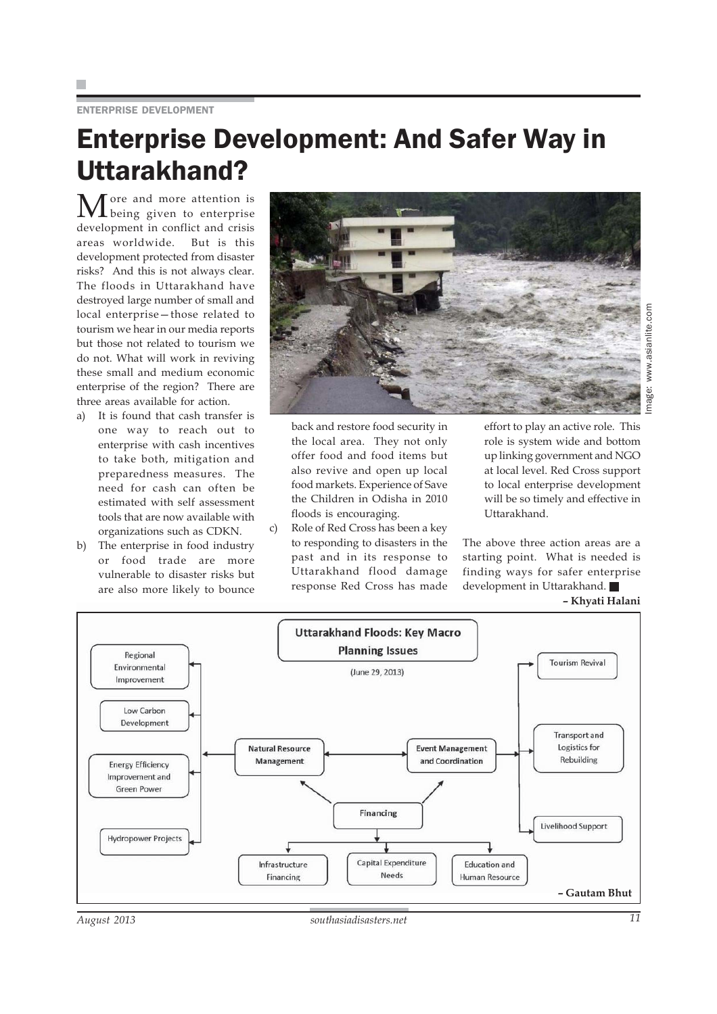### ENTERPRISE DEVELOPMENT

# Enterprise Development: And Safer Way in Uttarakhand?

More and more attention is being given to enterprise development in conflict and crisis areas worldwide. But is this development protected from disaster risks? And this is not always clear. The floods in Uttarakhand have destroyed large number of small and local enterprise—those related to tourism we hear in our media reports but those not related to tourism we do not. What will work in reviving these small and medium economic enterprise of the region? There are three areas available for action.

- a) It is found that cash transfer is one way to reach out to enterprise with cash incentives to take both, mitigation and preparedness measures. The need for cash can often be estimated with self assessment tools that are now available with organizations such as CDKN.
- b) The enterprise in food industry or food trade are more vulnerable to disaster risks but are also more likely to bounce



Image: www.asianlite.commage:

back and restore food security in the local area. They not only offer food and food items but also revive and open up local food markets. Experience of Save the Children in Odisha in 2010 floods is encouraging.

c) Role of Red Cross has been a key to responding to disasters in the past and in its response to Uttarakhand flood damage response Red Cross has made effort to play an active role. This role is system wide and bottom up linking government and NGO at local level. Red Cross support to local enterprise development will be so timely and effective in Uttarakhand.

The above three action areas are a starting point. What is needed is finding ways for safer enterprise development in Uttarakhand.

### **– Khyati Halani**

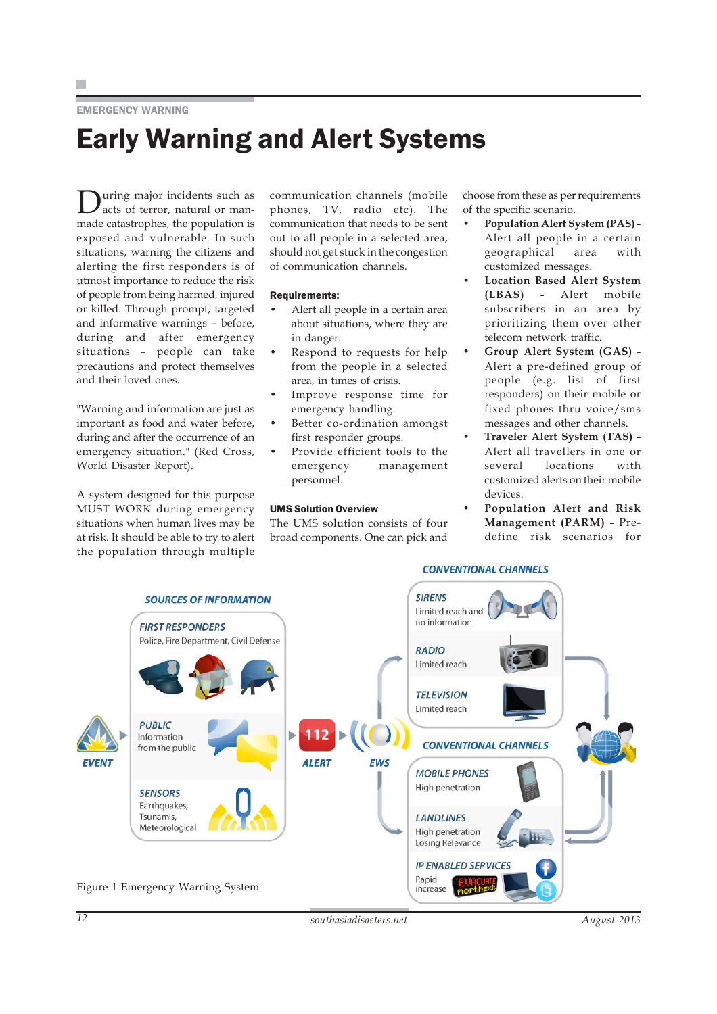H.

### EMERGENCY WARNING

# Early Warning and Alert Systems

During major incidents such as acts of terror, natural or manmade catastrophes, the population is exposed and vulnerable. In such situations, warning the citizens and alerting the first responders is of utmost importance to reduce the risk of people from being harmed, injured or killed. Through prompt, targeted and informative warnings – before, during and after emergency situations – people can take precautions and protect themselves and their loved ones.

"Warning and information are just as important as food and water before, during and after the occurrence of an emergency situation." (Red Cross, World Disaster Report).

A system designed for this purpose MUST WORK during emergency situations when human lives may be at risk. It should be able to try to alert the population through multiple communication channels (mobile phones, TV, radio etc). The communication that needs to be sent out to all people in a selected area, should not get stuck in the congestion of communication channels.

### Requirements:

- Alert all people in a certain area about situations, where they are in danger.
- Respond to requests for help from the people in a selected area, in times of crisis.
- Improve response time for emergency handling.
- Better co-ordination amongst first responder groups.
- Provide efficient tools to the emergency management personnel.

### UMS Solution Overview

The UMS solution consists of four broad components. One can pick and choose from these as per requirements of the specific scenario.

- **Population Alert System (PAS) -** Alert all people in a certain geographical area with customized messages.
- **Location Based Alert System (LBAS) -** Alert mobile subscribers in an area by prioritizing them over other telecom network traffic.
- **Group Alert System (GAS) -** Alert a pre-defined group of people (e.g. list of first responders) on their mobile or fixed phones thru voice/sms messages and other channels.
- **Traveler Alert System (TAS) -** Alert all travellers in one or several locations with customized alerts on their mobile devices.
- **Population Alert and Risk Management (PARM) -** Predefine risk scenarios for

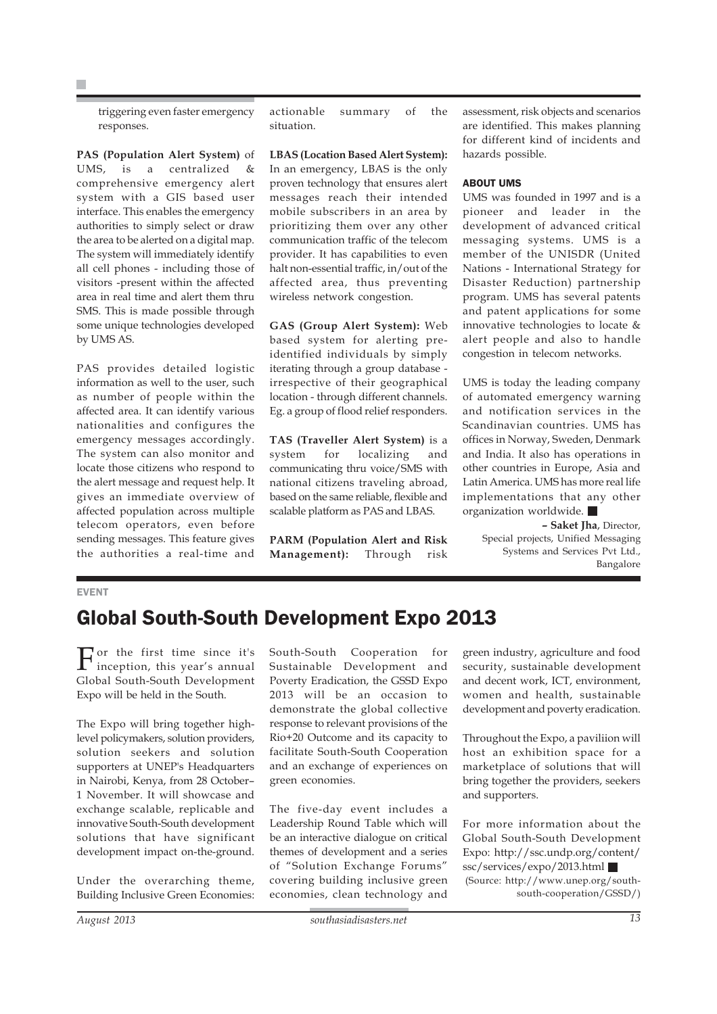triggering even faster emergency responses.

**PAS (Population Alert System)** of UMS, is a centralized & comprehensive emergency alert system with a GIS based user interface. This enables the emergency authorities to simply select or draw the area to be alerted on a digital map. The system will immediately identify all cell phones - including those of visitors -present within the affected area in real time and alert them thru SMS. This is made possible through some unique technologies developed by UMS AS.

PAS provides detailed logistic information as well to the user, such as number of people within the affected area. It can identify various nationalities and configures the emergency messages accordingly. The system can also monitor and locate those citizens who respond to the alert message and request help. It gives an immediate overview of affected population across multiple telecom operators, even before sending messages. This feature gives the authorities a real-time and actionable summary of the situation.

**LBAS (Location Based Alert System):** In an emergency, LBAS is the only proven technology that ensures alert messages reach their intended mobile subscribers in an area by prioritizing them over any other communication traffic of the telecom provider. It has capabilities to even halt non-essential traffic, in/out of the affected area, thus preventing wireless network congestion.

**GAS (Group Alert System):** Web based system for alerting preidentified individuals by simply iterating through a group database irrespective of their geographical location - through different channels. Eg. a group of flood relief responders.

**TAS (Traveller Alert System)** is a system for localizing and communicating thru voice/SMS with national citizens traveling abroad, based on the same reliable, flexible and scalable platform as PAS and LBAS.

**PARM (Population Alert and Risk Management):** Through risk assessment, risk objects and scenarios are identified. This makes planning for different kind of incidents and hazards possible.

### ABOUT UMS

UMS was founded in 1997 and is a pioneer and leader in the development of advanced critical messaging systems. UMS is a member of the UNISDR (United Nations - International Strategy for Disaster Reduction) partnership program. UMS has several patents and patent applications for some innovative technologies to locate & alert people and also to handle congestion in telecom networks.

UMS is today the leading company of automated emergency warning and notification services in the Scandinavian countries. UMS has offices in Norway, Sweden, Denmark and India. It also has operations in other countries in Europe, Asia and Latin America. UMS has more real life implementations that any other organization worldwide.

**– Saket Jha**, Director, Special projects, Unified Messaging Systems and Services Pvt Ltd., Bangalore

### EVENT

### Global South-South Development Expo 2013

For the first time since it's inception, this year's annual Global South-South Development Expo will be held in the South.

The Expo will bring together highlevel policymakers, solution providers, solution seekers and solution supporters at UNEP's Headquarters in Nairobi, Kenya, from 28 October– 1 November. It will showcase and exchange scalable, replicable and innovative South-South development solutions that have significant development impact on-the-ground.

Under the overarching theme, Building Inclusive Green Economies:

South-South Cooperation for Sustainable Development and Poverty Eradication, the GSSD Expo 2013 will be an occasion to demonstrate the global collective response to relevant provisions of the Rio+20 Outcome and its capacity to facilitate South-South Cooperation and an exchange of experiences on green economies.

The five-day event includes a Leadership Round Table which will be an interactive dialogue on critical themes of development and a series of "Solution Exchange Forums" covering building inclusive green economies, clean technology and

green industry, agriculture and food security, sustainable development and decent work, ICT, environment, women and health, sustainable development and poverty eradication.

Throughout the Expo, a paviliion will host an exhibition space for a marketplace of solutions that will bring together the providers, seekers and supporters.

For more information about the Global South-South Development Expo: http://ssc.undp.org/content/ ssc/services/expo/2013.html (Source: http://www.unep.org/southsouth-cooperation/GSSD/)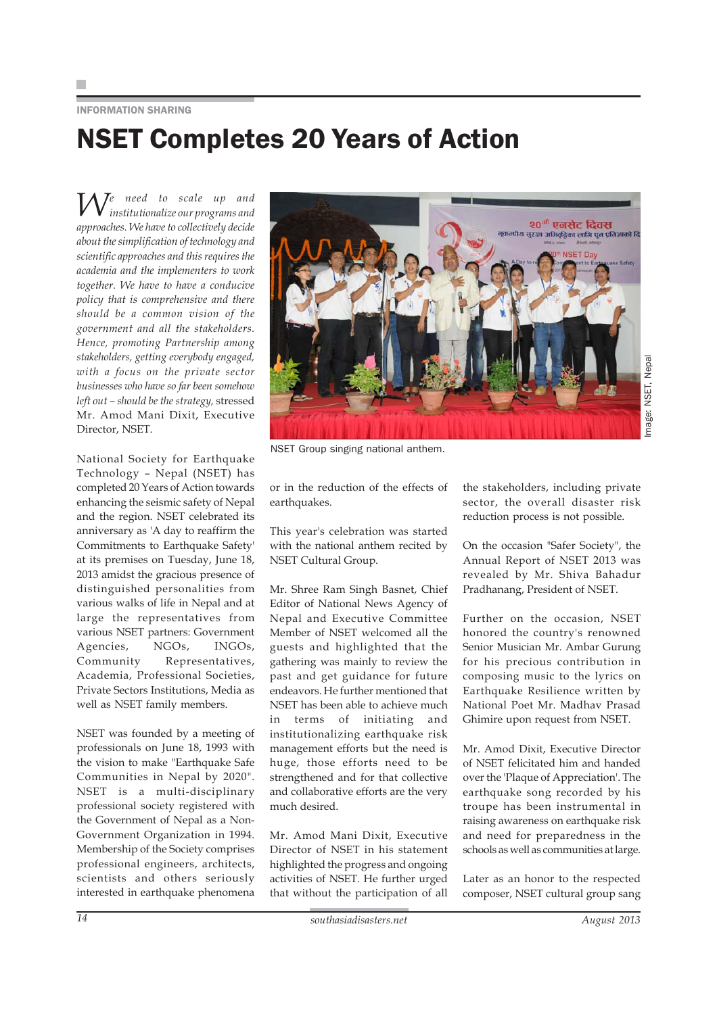INFORMATION SHARING

# NSET Completes 20 Years of Action

*We need to scale up and institutionalize our programs and approaches. We have to collectively decide about the simplification of technology and scientific approaches and this requires the academia and the implementers to work together. We have to have a conducive policy that is comprehensive and there should be a common vision of the government and all the stakeholders. Hence, promoting Partnership among stakeholders, getting everybody engaged, with a focus on the private sector businesses who have so far been somehow left out – should be the strategy,* stressed Mr. Amod Mani Dixit, Executive Director, NSET.

National Society for Earthquake Technology – Nepal (NSET) has completed 20 Years of Action towards enhancing the seismic safety of Nepal and the region. NSET celebrated its anniversary as 'A day to reaffirm the Commitments to Earthquake Safety' at its premises on Tuesday, June 18, 2013 amidst the gracious presence of distinguished personalities from various walks of life in Nepal and at large the representatives from various NSET partners: Government Agencies, NGOs, INGOs, Community Representatives, Academia, Professional Societies, Private Sectors Institutions, Media as well as NSET family members.

NSET was founded by a meeting of professionals on June 18, 1993 with the vision to make "Earthquake Safe Communities in Nepal by 2020". NSET is a multi-disciplinary professional society registered with the Government of Nepal as a Non-Government Organization in 1994. Membership of the Society comprises professional engineers, architects, scientists and others seriously interested in earthquake phenomena



NSET Group singing national anthem.

or in the reduction of the effects of earthquakes.

This year's celebration was started with the national anthem recited by NSET Cultural Group.

Mr. Shree Ram Singh Basnet, Chief Editor of National News Agency of Nepal and Executive Committee Member of NSET welcomed all the guests and highlighted that the gathering was mainly to review the past and get guidance for future endeavors. He further mentioned that NSET has been able to achieve much in terms of initiating and institutionalizing earthquake risk management efforts but the need is huge, those efforts need to be strengthened and for that collective and collaborative efforts are the very much desired.

Mr. Amod Mani Dixit, Executive Director of NSET in his statement highlighted the progress and ongoing activities of NSET. He further urged that without the participation of all

the stakeholders, including private sector, the overall disaster risk reduction process is not possible.

On the occasion "Safer Society", the Annual Report of NSET 2013 was revealed by Mr. Shiva Bahadur Pradhanang, President of NSET.

Further on the occasion, NSET honored the country's renowned Senior Musician Mr. Ambar Gurung for his precious contribution in composing music to the lyrics on Earthquake Resilience written by National Poet Mr. Madhav Prasad Ghimire upon request from NSET.

Mr. Amod Dixit, Executive Director of NSET felicitated him and handed over the 'Plaque of Appreciation'. The earthquake song recorded by his troupe has been instrumental in raising awareness on earthquake risk and need for preparedness in the schools as well as communities at large.

Later as an honor to the respected composer, NSET cultural group sang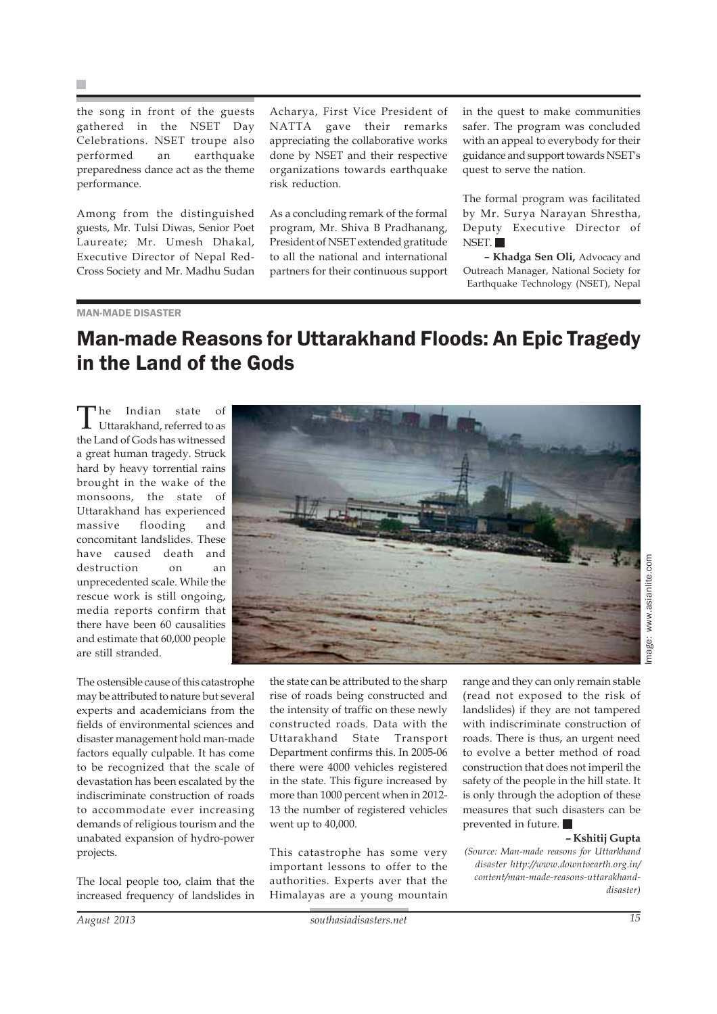the song in front of the guests gathered in the NSET Day Celebrations. NSET troupe also performed an earthquake preparedness dance act as the theme performance.

Among from the distinguished guests, Mr. Tulsi Diwas, Senior Poet Laureate; Mr. Umesh Dhakal, Executive Director of Nepal Red-Cross Society and Mr. Madhu Sudan

Acharya, First Vice President of NATTA gave their remarks appreciating the collaborative works done by NSET and their respective organizations towards earthquake risk reduction.

As a concluding remark of the formal program, Mr. Shiva B Pradhanang, President of NSET extended gratitude to all the national and international partners for their continuous support in the quest to make communities safer. The program was concluded with an appeal to everybody for their guidance and support towards NSET's quest to serve the nation.

The formal program was facilitated by Mr. Surya Narayan Shrestha, Deputy Executive Director of NSET.

**– Khadga Sen Oli,** Advocacy and Outreach Manager, National Society for Earthquake Technology (NSET), Nepal

### MAN-MADE DISASTER

### Man-made Reasons for Uttarakhand Floods: An Epic Tragedy in the Land of the Gods

The Indian state of Uttarakhand, referred to as the Land of Gods has witnessed a great human tragedy. Struck hard by heavy torrential rains brought in the wake of the monsoons, the state of Uttarakhand has experienced massive flooding and concomitant landslides. These have caused death and destruction on an unprecedented scale. While the rescue work is still ongoing, media reports confirm that there have been 60 causalities and estimate that 60,000 people are still stranded.



The ostensible cause of this catastrophe may be attributed to nature but several experts and academicians from the fields of environmental sciences and disaster management hold man-made factors equally culpable. It has come to be recognized that the scale of devastation has been escalated by the indiscriminate construction of roads to accommodate ever increasing demands of religious tourism and the unabated expansion of hydro-power projects.

The local people too, claim that the increased frequency of landslides in the state can be attributed to the sharp rise of roads being constructed and the intensity of traffic on these newly constructed roads. Data with the Uttarakhand State Transport Department confirms this. In 2005-06 there were 4000 vehicles registered in the state. This figure increased by more than 1000 percent when in 2012- 13 the number of registered vehicles went up to 40,000.

This catastrophe has some very important lessons to offer to the authorities. Experts aver that the Himalayas are a young mountain range and they can only remain stable (read not exposed to the risk of landslides) if they are not tampered with indiscriminate construction of roads. There is thus, an urgent need to evolve a better method of road construction that does not imperil the safety of the people in the hill state. It is only through the adoption of these measures that such disasters can be prevented in future.

#### **– Kshitij Gupta**

*(Source: Man-made reasons for Uttarkhand disaster http://www.downtoearth.org.in/ content/man-made-reasons-uttarakhanddisaster)*